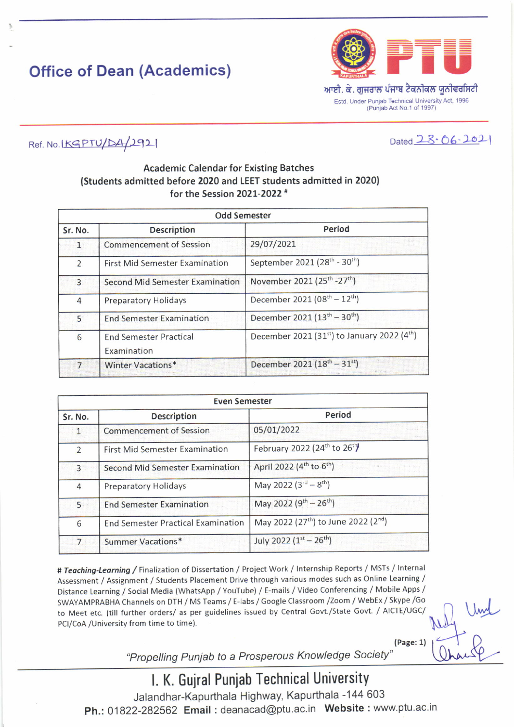# Office of Dean (Academics)



Estd. Under Punjab Technical University Act, 1996 (Punjab Act No.1 of 1997)

 $Dated$   $23.06.2021$ 

### $Ref. No.$ IKGPTU/DA/2921

### Academic Calendar for Existing Batches (Students admitted before 2020 and LEET students admitted in 2020) for the Session 2021-2022<sup>#</sup>

| <b>Odd Semester</b> |                                              |                                                         |
|---------------------|----------------------------------------------|---------------------------------------------------------|
| Sr. No.             | <b>Description</b>                           | Period                                                  |
| $\mathbf{1}$        | <b>Commencement of Session</b>               | 29/07/2021                                              |
| $\overline{2}$      | <b>First Mid Semester Examination</b>        | September 2021 (28 <sup>th</sup> - 30 <sup>th</sup> )   |
| $\overline{3}$      | <b>Second Mid Semester Examination</b>       | November 2021 (25 <sup>th</sup> -27 <sup>th</sup> )     |
| 4                   | <b>Preparatory Holidays</b>                  | December 2021 (08 <sup>th</sup> - 12 <sup>th</sup> )    |
| 5                   | <b>End Semester Examination</b>              | December 2021 (13 <sup>th</sup> – 30 <sup>th</sup> )    |
| 6                   | <b>End Semester Practical</b><br>Examination | December 2021 (31st) to January 2022 (4 <sup>th</sup> ) |
| $\overline{7}$      | Winter Vacations*                            | December 2021 $(18^{th} - 31^{st})$                     |

| <b>Even Semester</b> |                                           |                                                              |
|----------------------|-------------------------------------------|--------------------------------------------------------------|
| Sr. No.              | <b>Description</b>                        | Period                                                       |
| 1                    | <b>Commencement of Session</b>            | 05/01/2022                                                   |
| $\overline{2}$       | <b>First Mid Semester Examination</b>     | February 2022 (24th to 26th)                                 |
| $\overline{3}$       | <b>Second Mid Semester Examination</b>    | April 2022 (4 <sup>th</sup> to 6 <sup>th</sup> )             |
| $\overline{4}$       | <b>Preparatory Holidays</b>               | May 2022 $(3^{rd} - 8^{th})$                                 |
| 5                    | <b>End Semester Examination</b>           | May 2022 $(9^{th} - 26^{th})$                                |
| 6                    | <b>End Semester Practical Examination</b> | May 2022 (27 <sup>th</sup> ) to June 2022 (2 <sup>nd</sup> ) |
| $\overline{7}$       | Summer Vacations*                         | July 2022 $(1^{st} - 26^{th})$                               |

# Teaching-Learning / Finalization of Dissertation / Project Work / Internship Reports / MSTs / Internal Assessment / Assignment / students Placement Drive through various modes such as online Learning / Distance Learning / social Media (whatsApp / YouTube) / E-mails / video conferencing / Mobile Apps / SWAYAMPRABHA Channels on DTH / Ms Teams / E-labs / Google classroom /Zoom / WebEx / Skype /Go to Meet etc. (till further orders/ as per guidelines issued by central Govt./state Govt. / AICTE/UGC/ PCI/CoA /University from time to time).

{Page:1} Nely Und  $, +$  D

"Propelling Punjab to a Prosperous Knowledge Society"

l. K. Guiral Puniab Technical University Jalandhar-Kapurthala Highway, Kapurthala -144 603 Ph.: 01822-282562 Email: deanacad@ptu.ac.in Website: www.ptu.ac.in